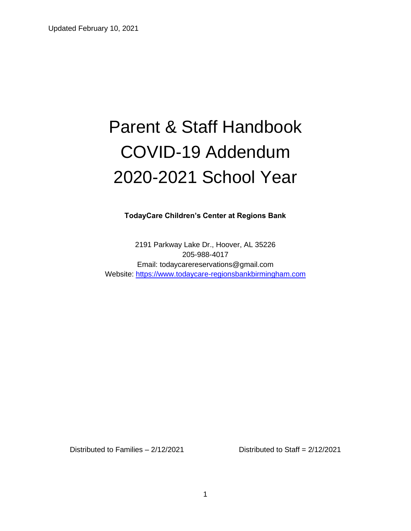# Parent & Staff Handbook COVID-19 Addendum 2020-2021 School Year

**TodayCare Children's Center at Regions Bank**

2191 Parkway Lake Dr., Hoover, AL 35226 205-988-4017 Email: todaycarereservations@gmail.com Website: [https://www.todaycare-regionsbankbirmingham.com](https://www.todaycare-regionsbankbirmingham.com/)

Distributed to Families – 2/12/2021 Distributed to Staff = 2/12/2021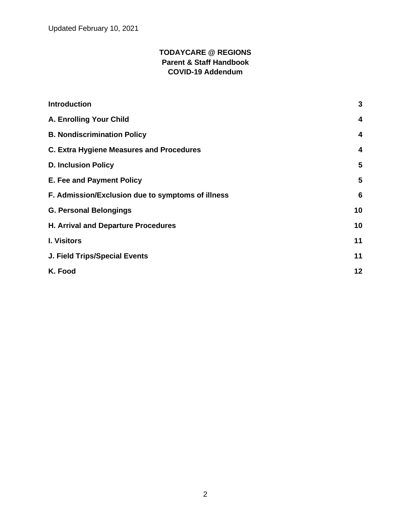Updated February 10, 2021

#### **TODAYCARE @ REGIONS Parent & Staff Handbook COVID-19 Addendum**

| <b>Introduction</b>                               | $\mathbf{3}$ |
|---------------------------------------------------|--------------|
| A. Enrolling Your Child                           | 4            |
| <b>B. Nondiscrimination Policy</b>                | 4            |
| <b>C. Extra Hygiene Measures and Procedures</b>   | 4            |
| <b>D. Inclusion Policy</b>                        | 5            |
| E. Fee and Payment Policy                         | 5            |
| F. Admission/Exclusion due to symptoms of illness | 6            |
| <b>G. Personal Belongings</b>                     | 10           |
| H. Arrival and Departure Procedures               | 10           |
| <b>I. Visitors</b>                                | 11           |
| <b>J. Field Trips/Special Events</b>              | 11           |
| K. Food                                           | 12           |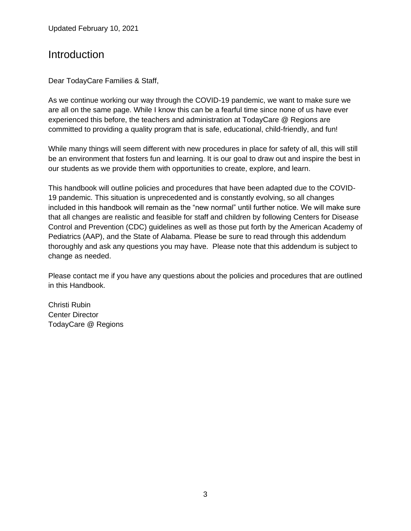Updated February 10, 2021

### <span id="page-2-0"></span>Introduction

Dear TodayCare Families & Staff,

As we continue working our way through the COVID-19 pandemic, we want to make sure we are all on the same page. While I know this can be a fearful time since none of us have ever experienced this before, the teachers and administration at TodayCare @ Regions are committed to providing a quality program that is safe, educational, child-friendly, and fun!

While many things will seem different with new procedures in place for safety of all, this will still be an environment that fosters fun and learning. It is our goal to draw out and inspire the best in our students as we provide them with opportunities to create, explore, and learn.

This handbook will outline policies and procedures that have been adapted due to the COVID-19 pandemic. This situation is unprecedented and is constantly evolving, so all changes included in this handbook will remain as the "new normal" until further notice. We will make sure that all changes are realistic and feasible for staff and children by following Centers for Disease Control and Prevention (CDC) guidelines as well as those put forth by the American Academy of Pediatrics (AAP), and the State of Alabama. Please be sure to read through this addendum thoroughly and ask any questions you may have. Please note that this addendum is subject to change as needed.

Please contact me if you have any questions about the policies and procedures that are outlined in this Handbook.

Christi Rubin Center Director TodayCare @ Regions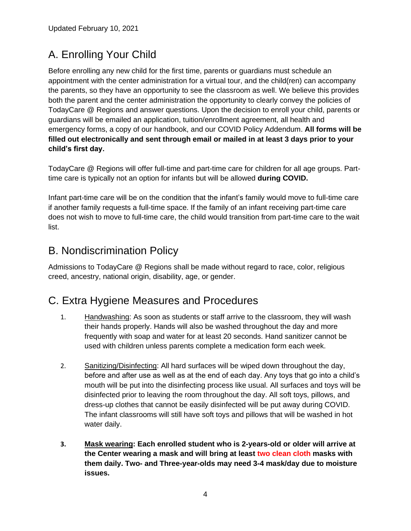### <span id="page-3-0"></span>A. Enrolling Your Child

Before enrolling any new child for the first time, parents or guardians must schedule an appointment with the center administration for a virtual tour, and the child(ren) can accompany the parents, so they have an opportunity to see the classroom as well. We believe this provides both the parent and the center administration the opportunity to clearly convey the policies of TodayCare @ Regions and answer questions. Upon the decision to enroll your child, parents or guardians will be emailed an application, tuition/enrollment agreement, all health and emergency forms, a copy of our handbook, and our COVID Policy Addendum. **All forms will be filled out electronically and sent through email or mailed in at least 3 days prior to your child's first day.**

TodayCare @ Regions will offer full-time and part-time care for children for all age groups. Parttime care is typically not an option for infants but will be allowed **during COVID.**

Infant part-time care will be on the condition that the infant's family would move to full-time care if another family requests a full-time space. If the family of an infant receiving part-time care does not wish to move to full-time care, the child would transition from part-time care to the wait list.

### <span id="page-3-1"></span>B. Nondiscrimination Policy

Admissions to TodayCare @ Regions shall be made without regard to race, color, religious creed, ancestry, national origin, disability, age, or gender.

### <span id="page-3-2"></span>C. Extra Hygiene Measures and Procedures

- 1. Handwashing: As soon as students or staff arrive to the classroom, they will wash their hands properly. Hands will also be washed throughout the day and more frequently with soap and water for at least 20 seconds. Hand sanitizer cannot be used with children unless parents complete a medication form each week.
- 2. Sanitizing/Disinfecting: All hard surfaces will be wiped down throughout the day, before and after use as well as at the end of each day. Any toys that go into a child's mouth will be put into the disinfecting process like usual. All surfaces and toys will be disinfected prior to leaving the room throughout the day. All soft toys, pillows, and dress-up clothes that cannot be easily disinfected will be put away during COVID. The infant classrooms will still have soft toys and pillows that will be washed in hot water daily.
- **3. Mask wearing: Each enrolled student who is 2-years-old or older will arrive at the Center wearing a mask and will bring at least two clean cloth masks with them daily. Two- and Three-year-olds may need 3-4 mask/day due to moisture issues.**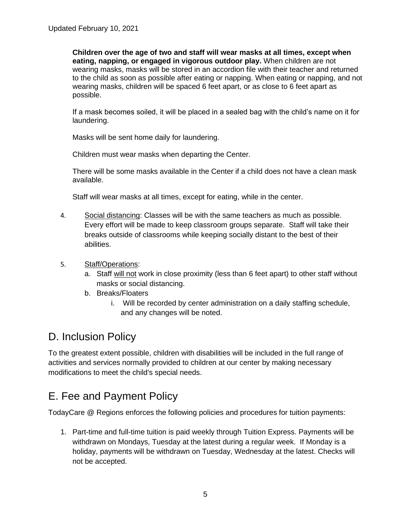**Children over the age of two and staff will wear masks at all times, except when eating, napping, or engaged in vigorous outdoor play.** When children are not wearing masks, masks will be stored in an accordion file with their teacher and returned to the child as soon as possible after eating or napping. When eating or napping, and not wearing masks, children will be spaced 6 feet apart, or as close to 6 feet apart as possible.

If a mask becomes soiled, it will be placed in a sealed bag with the child's name on it for laundering.

Masks will be sent home daily for laundering.

Children must wear masks when departing the Center.

There will be some masks available in the Center if a child does not have a clean mask available.

Staff will wear masks at all times, except for eating, while in the center.

- 4. Social distancing: Classes will be with the same teachers as much as possible. Every effort will be made to keep classroom groups separate. Staff will take their breaks outside of classrooms while keeping socially distant to the best of their abilities.
- 5. Staff/Operations:
	- a. Staff will not work in close proximity (less than 6 feet apart) to other staff without masks or social distancing.
	- b. Breaks/Floaters
		- i. Will be recorded by center administration on a daily staffing schedule, and any changes will be noted.

### <span id="page-4-0"></span>D. Inclusion Policy

To the greatest extent possible, children with disabilities will be included in the full range of activities and services normally provided to children at our center by making necessary modifications to meet the child's special needs.

### <span id="page-4-1"></span>E. Fee and Payment Policy

TodayCare @ Regions enforces the following policies and procedures for tuition payments:

1. Part-time and full-time tuition is paid weekly through Tuition Express. Payments will be withdrawn on Mondays, Tuesday at the latest during a regular week. If Monday is a holiday, payments will be withdrawn on Tuesday, Wednesday at the latest. Checks will not be accepted.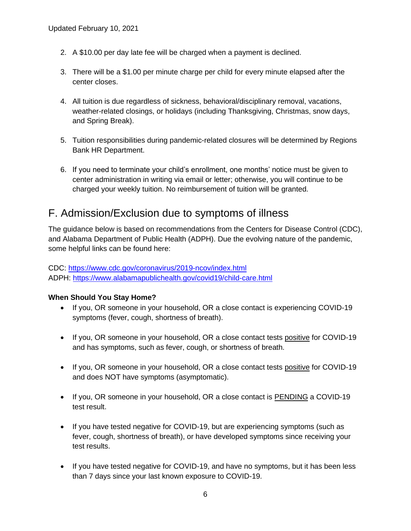- 2. A \$10.00 per day late fee will be charged when a payment is declined.
- 3. There will be a \$1.00 per minute charge per child for every minute elapsed after the center closes.
- 4. All tuition is due regardless of sickness, behavioral/disciplinary removal, vacations, weather-related closings, or holidays (including Thanksgiving, Christmas, snow days, and Spring Break).
- 5. Tuition responsibilities during pandemic-related closures will be determined by Regions Bank HR Department.
- 6. If you need to terminate your child's enrollment, one months' notice must be given to center administration in writing via email or letter; otherwise, you will continue to be charged your weekly tuition. No reimbursement of tuition will be granted.

### <span id="page-5-0"></span>F. Admission/Exclusion due to symptoms of illness

The guidance below is based on recommendations from the Centers for Disease Control (CDC), and Alabama Department of Public Health (ADPH). Due the evolving nature of the pandemic, some helpful links can be found here:

CDC:<https://www.cdc.gov/coronavirus/2019-ncov/index.html> ADPH:<https://www.alabamapublichealth.gov/covid19/child-care.html>

#### **When Should You Stay Home?**

- If you, OR someone in your household, OR a close contact is experiencing COVID-19 symptoms (fever, cough, shortness of breath).
- If you, OR someone in your household, OR a close contact tests positive for COVID-19 and has symptoms, such as fever, cough, or shortness of breath.
- If you, OR someone in your household, OR a close contact tests positive for COVID-19 and does NOT have symptoms (asymptomatic).
- If you, OR someone in your household, OR a close contact is **PENDING** a COVID-19 test result.
- If you have tested negative for COVID-19, but are experiencing symptoms (such as fever, cough, shortness of breath), or have developed symptoms since receiving your test results.
- If you have tested negative for COVID-19, and have no symptoms, but it has been less than 7 days since your last known exposure to COVID-19.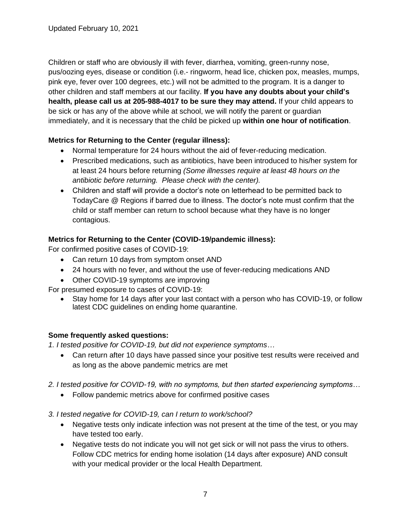Children or staff who are obviously ill with fever, diarrhea, vomiting, green-runny nose, pus/oozing eyes, disease or condition (i.e.- ringworm, head lice, chicken pox, measles, mumps, pink eye, fever over 100 degrees, etc.) will not be admitted to the program. It is a danger to other children and staff members at our facility. **If you have any doubts about your child's health, please call us at 205-988-4017 to be sure they may attend.** If your child appears to be sick or has any of the above while at school, we will notify the parent or guardian immediately, and it is necessary that the child be picked up **within one hour of notification**.

#### **Metrics for Returning to the Center (regular illness):**

- Normal temperature for 24 hours without the aid of fever-reducing medication.
- Prescribed medications, such as antibiotics, have been introduced to his/her system for at least 24 hours before returning *(Some illnesses require at least 48 hours on the antibiotic before returning. Please check with the center).*
- Children and staff will provide a doctor's note on letterhead to be permitted back to TodayCare @ Regions if barred due to illness. The doctor's note must confirm that the child or staff member can return to school because what they have is no longer contagious.

#### **Metrics for Returning to the Center (COVID-19/pandemic illness):**

For confirmed positive cases of COVID-19:

- Can return 10 days from symptom onset AND
- 24 hours with no fever, and without the use of fever-reducing medications AND
- Other COVID-19 symptoms are improving

For presumed exposure to cases of COVID-19:

• Stay home for 14 days after your last contact with a person who has COVID-19, or follow latest CDC guidelines on ending home quarantine.

#### **Some frequently asked questions:**

*1. I tested positive for COVID-19, but did not experience symptoms…*

- Can return after 10 days have passed since your positive test results were received and as long as the above pandemic metrics are met
- *2. I tested positive for COVID-19, with no symptoms, but then started experiencing symptoms…*
	- Follow pandemic metrics above for confirmed positive cases
- *3. I tested negative for COVID-19, can I return to work/school?*
	- Negative tests only indicate infection was not present at the time of the test, or you may have tested too early.
	- Negative tests do not indicate you will not get sick or will not pass the virus to others. Follow CDC metrics for ending home isolation (14 days after exposure) AND consult with your medical provider or the local Health Department.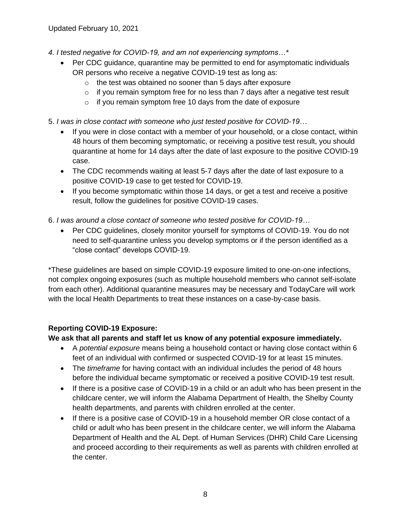- *4. I tested negative for COVID-19, and am not experiencing symptoms…\**
	- Per CDC guidance, quarantine may be permitted to end for asymptomatic individuals OR persons who receive a negative COVID-19 test as long as:
		- o the test was obtained no sooner than 5 days after exposure
		- $\circ$  if you remain symptom free for no less than 7 days after a negative test result
		- $\circ$  if you remain symptom free 10 days from the date of exposure
- 5. *I was in close contact with someone who just tested positive for COVID-19…*
	- If you were in close contact with a member of your household, or a close contact, within 48 hours of them becoming symptomatic, or receiving a positive test result, you should quarantine at home for 14 days after the date of last exposure to the positive COVID-19 case.
	- The CDC recommends waiting at least 5-7 days after the date of last exposure to a positive COVID-19 case to get tested for COVID-19.
	- If you become symptomatic within those 14 days, or get a test and receive a positive result, follow the guidelines for positive COVID-19 cases.

6. *I was around a close contact of someone who tested positive for COVID-19…*

• Per CDC quidelines, closely monitor yourself for symptoms of COVID-19. You do not need to self-quarantine unless you develop symptoms or if the person identified as a "close contact" develops COVID-19.

\*These guidelines are based on simple COVID-19 exposure limited to one-on-one infections, not complex ongoing exposures (such as multiple household members who cannot self-isolate from each other). Additional quarantine measures may be necessary and TodayCare will work with the local Health Departments to treat these instances on a case-by-case basis.

#### **Reporting COVID-19 Exposure:**

**We ask that all parents and staff let us know of any potential exposure immediately.**

- A *potential exposure* means being a household contact or having close contact within 6 feet of an individual with confirmed or suspected COVID-19 for at least 15 minutes.
- The *timeframe* for having contact with an individual includes the period of 48 hours before the individual became symptomatic or received a positive COVID-19 test result.
- If there is a positive case of COVID-19 in a child or an adult who has been present in the childcare center, we will inform the Alabama Department of Health, the Shelby County health departments, and parents with children enrolled at the center.
- If there is a positive case of COVID-19 in a household member OR close contact of a child or adult who has been present in the childcare center, we will inform the Alabama Department of Health and the AL Dept. of Human Services (DHR) Child Care Licensing and proceed according to their requirements as well as parents with children enrolled at the center.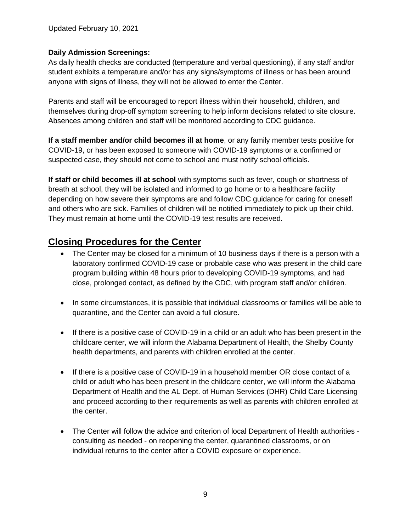Updated February 10, 2021

#### **Daily Admission Screenings:**

As daily health checks are conducted (temperature and verbal questioning), if any staff and/or student exhibits a temperature and/or has any signs/symptoms of illness or has been around anyone with signs of illness, they will not be allowed to enter the Center.

Parents and staff will be encouraged to report illness within their household, children, and themselves during drop-off symptom screening to help inform decisions related to site closure. Absences among children and staff will be monitored according to CDC guidance.

**If a staff member and/or child becomes ill at home**, or any family member tests positive for COVID-19, or has been exposed to someone with COVID-19 symptoms or a confirmed or suspected case, they should not come to school and must notify school officials.

**If staff or child becomes ill at school** with symptoms such as fever, cough or shortness of breath at school, they will be isolated and informed to go home or to a healthcare facility depending on how severe their symptoms are and follow CDC guidance for caring for oneself and others who are sick. Families of children will be notified immediately to pick up their child. They must remain at home until the COVID-19 test results are received.

#### **Closing Procedures for the Center**

- The Center may be closed for a minimum of 10 business days if there is a person with a laboratory confirmed COVID-19 case or probable case who was present in the child care program building within 48 hours prior to developing COVID-19 symptoms, and had close, prolonged contact, as defined by the CDC, with program staff and/or children.
- In some circumstances, it is possible that individual classrooms or families will be able to quarantine, and the Center can avoid a full closure.
- If there is a positive case of COVID-19 in a child or an adult who has been present in the childcare center, we will inform the Alabama Department of Health, the Shelby County health departments, and parents with children enrolled at the center.
- If there is a positive case of COVID-19 in a household member OR close contact of a child or adult who has been present in the childcare center, we will inform the Alabama Department of Health and the AL Dept. of Human Services (DHR) Child Care Licensing and proceed according to their requirements as well as parents with children enrolled at the center.
- The Center will follow the advice and criterion of local Department of Health authorities consulting as needed - on reopening the center, quarantined classrooms, or on individual returns to the center after a COVID exposure or experience.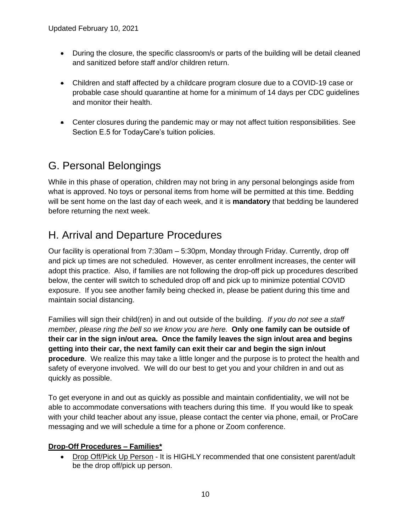- During the closure, the specific classroom/s or parts of the building will be detail cleaned and sanitized before staff and/or children return.
- Children and staff affected by a childcare program closure due to a COVID-19 case or probable case should quarantine at home for a minimum of 14 days per CDC guidelines and monitor their health.
- Center closures during the pandemic may or may not affect tuition responsibilities. See Section E.5 for TodayCare's tuition policies.

### <span id="page-9-0"></span>G. Personal Belongings

While in this phase of operation, children may not bring in any personal belongings aside from what is approved. No toys or personal items from home will be permitted at this time. Bedding will be sent home on the last day of each week, and it is **mandatory** that bedding be laundered before returning the next week.

### <span id="page-9-1"></span>H. Arrival and Departure Procedures

Our facility is operational from 7:30am – 5:30pm, Monday through Friday. Currently, drop off and pick up times are not scheduled. However, as center enrollment increases, the center will adopt this practice. Also, if families are not following the drop-off pick up procedures described below, the center will switch to scheduled drop off and pick up to minimize potential COVID exposure. If you see another family being checked in, please be patient during this time and maintain social distancing.

Families will sign their child(ren) in and out outside of the building. *If you do not see a staff member, please ring the bell so we know you are here.* **Only one family can be outside of their car in the sign in/out area. Once the family leaves the sign in/out area and begins getting into their car, the next family can exit their car and begin the sign in/out procedure**. We realize this may take a little longer and the purpose is to protect the health and safety of everyone involved. We will do our best to get you and your children in and out as quickly as possible.

To get everyone in and out as quickly as possible and maintain confidentiality, we will not be able to accommodate conversations with teachers during this time. If you would like to speak with your child teacher about any issue, please contact the center via phone, email, or ProCare messaging and we will schedule a time for a phone or Zoom conference.

#### **Drop-Off Procedures – Families\***

• Drop Off/Pick Up Person - It is HIGHLY recommended that one consistent parent/adult be the drop off/pick up person.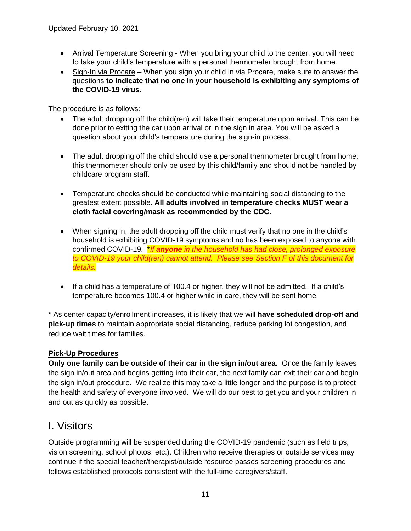- Arrival Temperature Screening When you bring your child to the center, you will need to take your child's temperature with a personal thermometer brought from home.
- Sign-In via Procare When you sign your child in via Procare, make sure to answer the questions **to indicate that no one in your household is exhibiting any symptoms of the COVID-19 virus.**

The procedure is as follows:

- The adult dropping off the child(ren) will take their temperature upon arrival. This can be done prior to exiting the car upon arrival or in the sign in area. You will be asked a question about your child's temperature during the sign-in process.
- The adult dropping off the child should use a personal thermometer brought from home; this thermometer should only be used by this child/family and should not be handled by childcare program staff.
- Temperature checks should be conducted while maintaining social distancing to the greatest extent possible. **All adults involved in temperature checks MUST wear a cloth facial covering/mask as recommended by the CDC.**
- When signing in, the adult dropping off the child must verify that no one in the child's household is exhibiting COVID-19 symptoms and no has been exposed to anyone with confirmed COVID-19. \**If anyone in the household has had close, prolonged exposure to COVID-19 your child(ren) cannot attend. Please see Section F of this document for details.*
- If a child has a temperature of 100.4 or higher, they will not be admitted. If a child's temperature becomes 100.4 or higher while in care, they will be sent home.

**\*** As center capacity/enrollment increases, it is likely that we will **have scheduled drop-off and pick-up times** to maintain appropriate social distancing, reduce parking lot congestion, and reduce wait times for families.

#### **Pick-Up Procedures**

**Only one family can be outside of their car in the sign in/out area.** Once the family leaves the sign in/out area and begins getting into their car, the next family can exit their car and begin the sign in/out procedure. We realize this may take a little longer and the purpose is to protect the health and safety of everyone involved. We will do our best to get you and your children in and out as quickly as possible.

### <span id="page-10-0"></span>I. Visitors

Outside programming will be suspended during the COVID-19 pandemic (such as field trips, vision screening, school photos, etc.). Children who receive therapies or outside services may continue if the special teacher/therapist/outside resource passes screening procedures and follows established protocols consistent with the full-time caregivers/staff.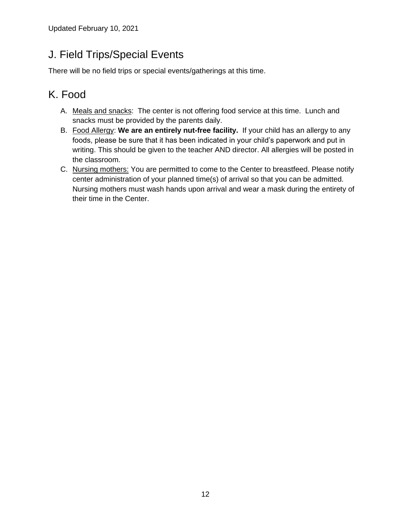### <span id="page-11-0"></span>J. Field Trips/Special Events

<span id="page-11-1"></span>There will be no field trips or special events/gatherings at this time.

### K. Food

- A. Meals and snacks: The center is not offering food service at this time. Lunch and snacks must be provided by the parents daily.
- B. Food Allergy: **We are an entirely nut-free facility.** If your child has an allergy to any foods, please be sure that it has been indicated in your child's paperwork and put in writing. This should be given to the teacher AND director. All allergies will be posted in the classroom.
- C. Nursing mothers: You are permitted to come to the Center to breastfeed. Please notify center administration of your planned time(s) of arrival so that you can be admitted. Nursing mothers must wash hands upon arrival and wear a mask during the entirety of their time in the Center.